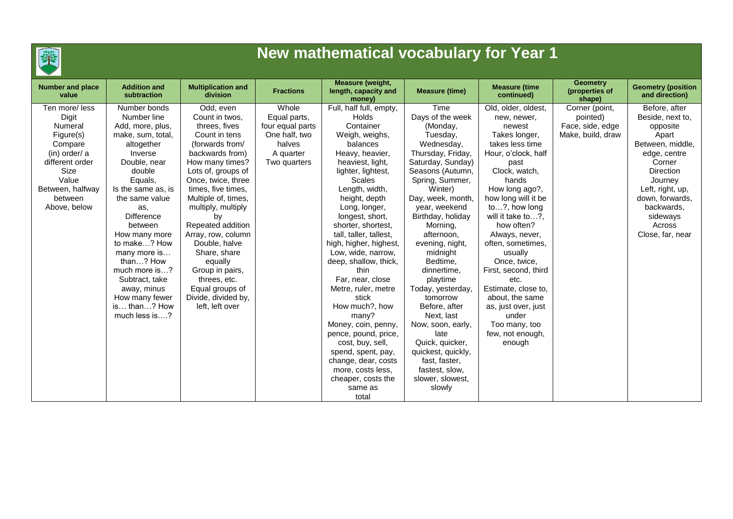

## **New mathematical vocabulary for Year 1**

| <b>Number and place</b><br>value | <b>Addition and</b><br>subtraction | <b>Multiplication and</b><br>division | <b>Fractions</b> | Measure (weight,<br>length, capacity and<br>money) | <b>Measure (time)</b> | <b>Measure (time</b><br>continued) | <b>Geometry</b><br>(properties of<br>shape) | <b>Geometry (position</b><br>and direction) |
|----------------------------------|------------------------------------|---------------------------------------|------------------|----------------------------------------------------|-----------------------|------------------------------------|---------------------------------------------|---------------------------------------------|
| Ten more/less                    | Number bonds                       | Odd, even                             | Whole            | Full, half full, empty,                            | Time                  | Old, older, oldest,                | Corner (point,                              | Before, after                               |
| Digit                            | Number line                        | Count in twos,                        | Equal parts,     | <b>Holds</b>                                       | Days of the week      | new, newer,                        | pointed)                                    | Beside, next to,                            |
| Numeral                          | Add, more, plus,                   | threes, fives                         | four equal parts | Container                                          | (Monday,              | newest                             | Face, side, edge                            | opposite                                    |
| Figure(s)                        | make, sum, total,                  | Count in tens                         | One half, two    | Weigh, weighs,                                     | Tuesday,              | Takes longer,                      | Make, build, draw                           | Apart                                       |
| Compare                          | altogether                         | (forwards from/                       | halves           | balances                                           | Wednesday,            | takes less time                    |                                             | Between, middle,                            |
| $(in)$ order/ a                  | Inverse                            | backwards from)                       | A quarter        | Heavy, heavier,                                    | Thursday, Friday,     | Hour, o'clock, half                |                                             | edge, centre                                |
| different order                  | Double, near                       | How many times?                       | Two quarters     | heaviest, light,                                   | Saturday, Sunday)     | past                               |                                             | Corner                                      |
| Size                             | double                             | Lots of, groups of                    |                  | lighter, lightest,                                 | Seasons (Autumn,      | Clock, watch,                      |                                             | <b>Direction</b>                            |
| Value                            | Equals,                            | Once, twice, three                    |                  | <b>Scales</b>                                      | Spring, Summer,       | hands                              |                                             | Journey                                     |
| Between, halfway                 | Is the same as, is                 | times, five times,                    |                  | Length, width,                                     | Winter)               | How long ago?,                     |                                             | Left, right, up,                            |
| between                          | the same value                     | Multiple of, times,                   |                  | height, depth                                      | Day, week, month,     | how long will it be                |                                             | down, forwards,                             |
| Above, below                     | as,                                | multiply, multiply                    |                  | Long, longer,                                      | year, weekend         | to?, how long                      |                                             | backwards,                                  |
|                                  | <b>Difference</b>                  | by                                    |                  | longest, short,                                    | Birthday, holiday     | will it take to?,                  |                                             | sideways                                    |
|                                  | between                            | Repeated addition                     |                  | shorter, shortest,                                 | Morning,              | how often?                         |                                             | Across                                      |
|                                  | How many more                      | Array, row, column                    |                  | tall, taller, tallest,                             | afternoon,            | Always, never,                     |                                             | Close, far, near                            |
|                                  | to make? How                       | Double, halve                         |                  | high, higher, highest,                             | evening, night,       | often, sometimes,                  |                                             |                                             |
|                                  | many more is                       | Share, share                          |                  | Low, wide, narrow,                                 | midnight              | usually                            |                                             |                                             |
|                                  | than? How                          | equally                               |                  | deep, shallow, thick,                              | Bedtime,              | Once, twice,                       |                                             |                                             |
|                                  | much more is?                      | Group in pairs,                       |                  | thin                                               | dinnertime,           | First, second, third               |                                             |                                             |
|                                  | Subtract, take                     | threes, etc.                          |                  | Far, near, close                                   | playtime              | etc.                               |                                             |                                             |
|                                  | away, minus                        | Equal groups of                       |                  | Metre, ruler, metre                                | Today, yesterday,     | Estimate, close to,                |                                             |                                             |
|                                  | How many fewer                     | Divide, divided by,                   |                  | stick                                              | tomorrow              | about, the same                    |                                             |                                             |
|                                  | is than? How                       | left, left over                       |                  | How much?, how                                     | Before, after         | as, just over, just                |                                             |                                             |
|                                  | much less is?                      |                                       |                  | many?                                              | Next, last            | under                              |                                             |                                             |
|                                  |                                    |                                       |                  | Money, coin, penny,                                | Now, soon, early,     | Too many, too                      |                                             |                                             |
|                                  |                                    |                                       |                  | pence, pound, price,                               | late                  | few, not enough,                   |                                             |                                             |
|                                  |                                    |                                       |                  | cost, buy, sell,                                   | Quick, quicker,       | enough                             |                                             |                                             |
|                                  |                                    |                                       |                  | spend, spent, pay,                                 | quickest, quickly,    |                                    |                                             |                                             |
|                                  |                                    |                                       |                  | change, dear, costs                                | fast, faster,         |                                    |                                             |                                             |
|                                  |                                    |                                       |                  | more, costs less,                                  | fastest, slow,        |                                    |                                             |                                             |
|                                  |                                    |                                       |                  | cheaper, costs the                                 | slower, slowest,      |                                    |                                             |                                             |
|                                  |                                    |                                       |                  | same as                                            | slowly                |                                    |                                             |                                             |
|                                  |                                    |                                       |                  | total                                              |                       |                                    |                                             |                                             |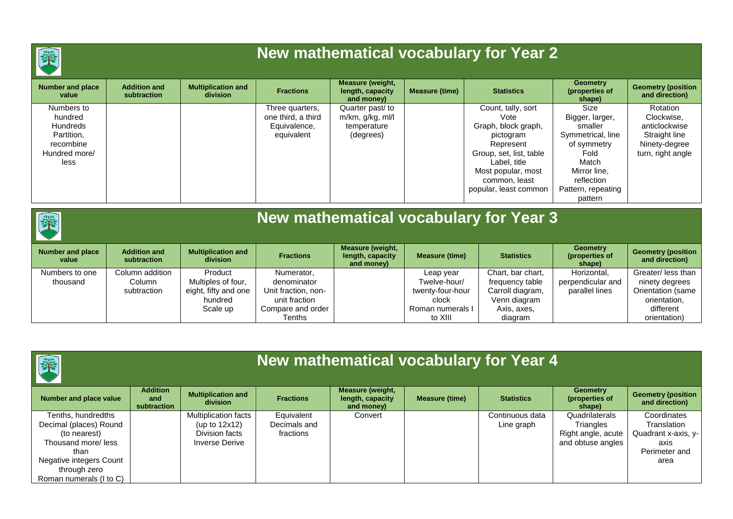

## **New mathematical vocabulary for Year 2**

| <b>Number and place</b><br>value | <b>Addition and</b><br>subtraction | <b>Multiplication and</b><br><b>division</b> | <b>Fractions</b>   | <b>Measure (weight,</b><br>length, capacity<br>and money) | <b>Measure (time)</b> | <b>Statistics</b>       | <b>Geometry</b><br>(properties of<br>shape) | <b>Geometry (position</b><br>and direction) |
|----------------------------------|------------------------------------|----------------------------------------------|--------------------|-----------------------------------------------------------|-----------------------|-------------------------|---------------------------------------------|---------------------------------------------|
| Numbers to                       |                                    |                                              | Three quarters,    | Quarter past/ to                                          |                       | Count, tally, sort      | Size                                        | Rotation                                    |
| hundred                          |                                    |                                              | one third, a third | m/km, g/kg, ml/l                                          |                       | Vote                    | Bigger, larger,                             | Clockwise,                                  |
| Hundreds                         |                                    |                                              | Equivalence,       | temperature                                               |                       | Graph, block graph,     | smaller                                     | anticlockwise                               |
| Partition,                       |                                    |                                              | equivalent         | (degrees)                                                 |                       | pictogram               | Symmetrical, line                           | Straight line                               |
| recombine                        |                                    |                                              |                    |                                                           |                       | Represent               | of symmetry                                 | Ninety-degree                               |
| Hundred more/                    |                                    |                                              |                    |                                                           |                       | Group, set, list, table | Fold                                        | turn, right angle                           |
| less                             |                                    |                                              |                    |                                                           |                       | Label, title            | Match                                       |                                             |
|                                  |                                    |                                              |                    |                                                           |                       | Most popular, most      | Mirror line,                                |                                             |
|                                  |                                    |                                              |                    |                                                           |                       | common. least           | reflection                                  |                                             |
|                                  |                                    |                                              |                    |                                                           |                       | popular, least common   | Pattern, repeating                          |                                             |
|                                  |                                    |                                              |                    |                                                           |                       |                         | pattern                                     |                                             |

### **New mathematical vocabulary for Year 3**

| Number and place | <b>Addition and</b> | <b>Multiplication and</b> | <b>Fractions</b>    | <b>Measure (weight,</b><br>length, capacity | <b>Measure (time)</b> | <b>Statistics</b> | <b>Geometry</b><br>(properties of | <b>Geometry (position</b> |
|------------------|---------------------|---------------------------|---------------------|---------------------------------------------|-----------------------|-------------------|-----------------------------------|---------------------------|
| value            | subtraction         | division                  |                     | and money)                                  |                       |                   | shape)                            | and direction)            |
| Numbers to one   | Column addition     | Product                   | Numerator,          |                                             | Leap year             | Chart, bar chart, | Horizontal.                       | Greater/ less than        |
| thousand         | Column              | Multiples of four,        | denominator         |                                             | Twelve-hour/          | frequency table   | perpendicular and                 | ninety degrees            |
|                  | subtraction         | eight, fifty and one      | Unit fraction, non- |                                             | twenty-four-hour      | Carroll diagram,  | parallel lines                    | Orientation (same         |
|                  |                     | hundred                   | unit fraction       |                                             | clock                 | Venn diagram      |                                   | orientation,              |
|                  |                     | Scale up                  | Compare and order   |                                             | Roman numerals I      | Axis, axes,       |                                   | different                 |
|                  |                     |                           | Tenths              |                                             | to XIII               | diagram           |                                   | orientation)              |

| 春<br>New mathematical vocabulary for Year 4                                                                                                                      |                                       |                                                                                     |                                         |                                                           |                       |                               |                                                                        |                                                                                    |
|------------------------------------------------------------------------------------------------------------------------------------------------------------------|---------------------------------------|-------------------------------------------------------------------------------------|-----------------------------------------|-----------------------------------------------------------|-----------------------|-------------------------------|------------------------------------------------------------------------|------------------------------------------------------------------------------------|
| <b>Number and place value</b>                                                                                                                                    | <b>Addition</b><br>and<br>subtraction | <b>Multiplication and</b><br>division                                               | <b>Fractions</b>                        | <b>Measure (weight,</b><br>length, capacity<br>and money) | <b>Measure (time)</b> | <b>Statistics</b>             | <b>Geometry</b><br>(properties of<br>shape)                            | <b>Geometry (position</b><br>and direction)                                        |
| Tenths, hundredths<br>Decimal (places) Round<br>(to nearest)<br>Thousand more/less<br>than<br>Negative integers Count<br>through zero<br>Roman numerals (I to C) |                                       | Multiplication facts<br>(up to $12x12$ )<br>Division facts<br><b>Inverse Derive</b> | Equivalent<br>Decimals and<br>fractions | Convert                                                   |                       | Continuous data<br>Line graph | Quadrilaterals<br>Triangles<br>Right angle, acute<br>and obtuse angles | Coordinates<br>Translation<br>Quadrant x-axis, y-<br>axis<br>Perimeter and<br>area |